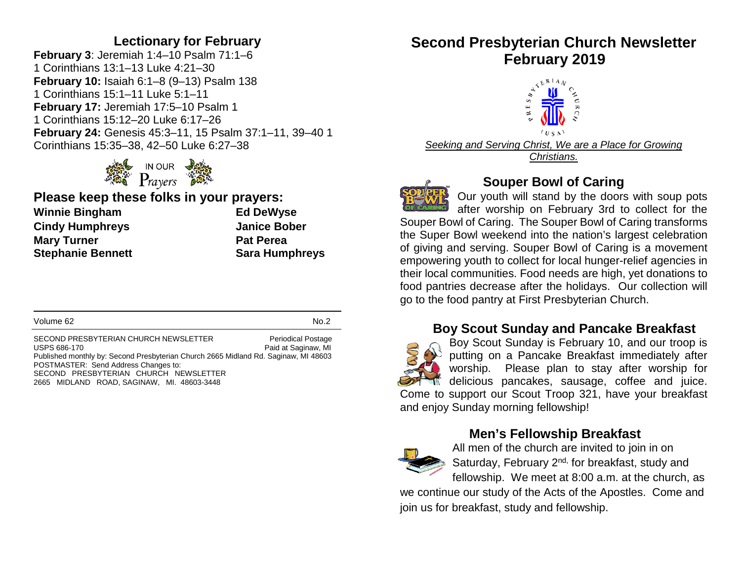#### **Lectionary for February**

**February 3**: Jeremiah 1:4–10 Psalm 71:1–6 1 Corinthians 13:1–13 Luke 4:21–30 **February 10:** Isaiah 6:1–8 (9–13) Psalm 138 1 Corinthians 15:1–11 Luke 5:1–11 **February 17:** Jeremiah 17:5–10 Psalm 1 1 Corinthians 15:12–20 Luke 6:17–26 **February 24:** Genesis 45:3–11, 15 Psalm 37:1–11, 39–40 1 Corinthians 15:35–38, 42–50 Luke 6:27–38



#### **Please keep these folks in your prayers: Winnie Bingham Ed DeWyse Cindy Humphreys Janice Bober Mary Turner Pat Perea Stephanie Bennett Sara Humphreys**

Volume 62 No.2

SECOND PRESBYTERIAN CHURCH NEWSLETTER Periodical Postage USPS 686-170<br>
USPS 686-170 Paid at Saginaw, MI Published monthly by: Second Presbyterian Church 2665 Midland Rd. Saginaw, MI 48603 POSTMASTER: Send Address Changes to: SECOND PRESBYTERIAN CHURCH NEWSLETTER 2665 MIDLAND ROAD, SAGINAW, MI. 48603-3448

# **Second Presbyterian Church Newsletter February 2019**



*Seeking and Serving Christ, We are a Place for Growing Christians.*



## **Souper Bowl of Caring**

Our youth will stand by the doors with soup pots after worship on February 3rd to collect for the Souper Bowl of Caring. The Souper Bowl of Caring transforms the Super Bowl weekend into the nation's largest celebration of giving and serving. Souper Bowl of Caring is a movement empowering youth to collect for local hunger-relief agencies in their local communities. Food needs are high, yet donations to food pantries decrease after the holidays. Our collection will go to the food pantry at First Presbyterian Church.

## **Boy Scout Sunday and Pancake Breakfast**



Boy Scout Sunday is February 10, and our troop is putting on a Pancake Breakfast immediately after worship. Please plan to stay after worship for delicious pancakes, sausage, coffee and juice. Come to support our Scout Troop 321, have your breakfast and enjoy Sunday morning fellowship!

## **Men's Fellowship Breakfast**



All men of the church are invited to join in on Saturday, February 2<sup>nd,</sup> for breakfast, study and fellowship. We meet at 8:00 a.m. at the church, as

we continue our study of the Acts of the Apostles. Come and join us for breakfast, study and fellowship.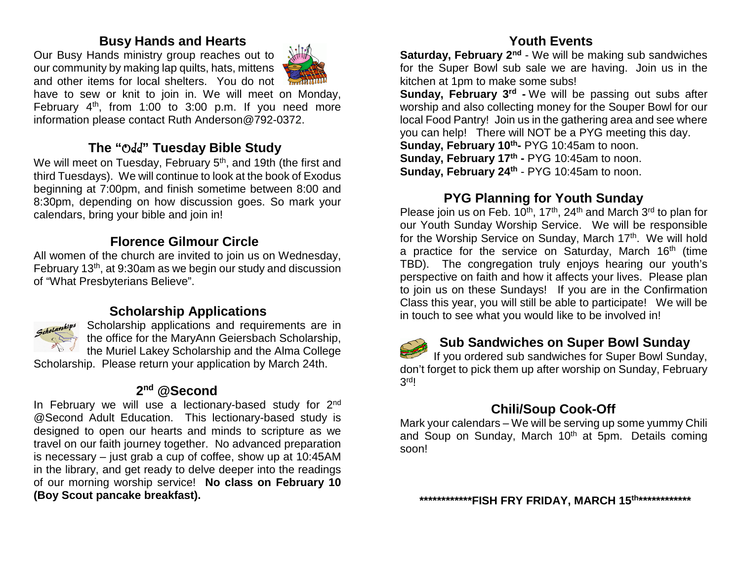#### **Busy Hands and Hearts**

Our Busy Hands ministry group reaches out to our community by making lap quilts, hats, mittens and other items for local shelters. You do not



have to sew or knit to join in. We will meet on Monday, February  $4<sup>th</sup>$ , from 1:00 to 3:00 p.m. If you need more information please contact Ruth Anderson@792-0372.

## **The "**Odd**" Tuesday Bible Study**

We will meet on Tuesday, February 5<sup>th</sup>, and 19th (the first and third Tuesdays). We will continue to look at the book of Exodus beginning at 7:00pm, and finish sometime between 8:00 and 8:30pm, depending on how discussion goes. So mark your calendars, bring your bible and join in!

## **Florence Gilmour Circle**

All women of the church are invited to join us on Wednesday, February 13th, at 9:30am as we begin our study and discussion of "What Presbyterians Believe".

## **Scholarship Applications**



Scholarship applications and requirements are in the office for the MaryAnn Geiersbach Scholarship, the Muriel Lakey Scholarship and the Alma College

Scholarship. Please return your application by March 24th.

## **2nd @Second**

In February we will use a lectionary-based study for 2<sup>nd</sup> @Second Adult Education. This lectionary-based study is designed to open our hearts and minds to scripture as we travel on our faith journey together. No advanced preparation is necessary – just grab a cup of coffee, show up at 10:45AM in the library, and get ready to delve deeper into the readings of our morning worship service! **No class on February 10 (Boy Scout pancake breakfast).**

## **Youth Events**

**Saturday, February 2<sup>nd</sup>** - We will be making sub sandwiches for the Super Bowl sub sale we are having. Join us in the kitchen at 1pm to make some subs!

**Sunday, February 3<sup>rd</sup> -** We will be passing out subs after worship and also collecting money for the Souper Bowl for our local Food Pantry! Join us in the gathering area and see where you can help! There will NOT be a PYG meeting this day.

**Sunday, February 10th-** PYG 10:45am to noon.

**Sunday, February 17<sup>th</sup> - PYG 10:45am to noon. Sunday, February 24<sup>th</sup> - PYG 10:45am to noon.** 

#### **PYG Planning for Youth Sunday**

Please join us on Feb.  $10^{th}$ ,  $17^{th}$ ,  $24^{th}$  and March  $3^{rd}$  to plan for our Youth Sunday Worship Service. We will be responsible for the Worship Service on Sunday, March 17th. We will hold a practice for the service on Saturday, March  $16<sup>th</sup>$  (time TBD). The congregation truly enjoys hearing our youth's perspective on faith and how it affects your lives. Please plan to join us on these Sundays! If you are in the Confirmation Class this year, you will still be able to participate! We will be in touch to see what you would like to be involved in!



## **Sub Sandwiches on Super Bowl Sunday**

If you ordered sub sandwiches for Super Bowl Sunday, don't forget to pick them up after worship on Sunday, February 3rd!

## **Chili/Soup Cook-Off**

Mark your calendars – We will be serving up some yummy Chili and Soup on Sunday, March 10<sup>th</sup> at 5pm. Details coming soon!

**\*\*\*\*\*\*\*\*\*\*\*\*FISH FRY FRIDAY, MARCH 15th\*\*\*\*\*\*\*\*\*\*\*\***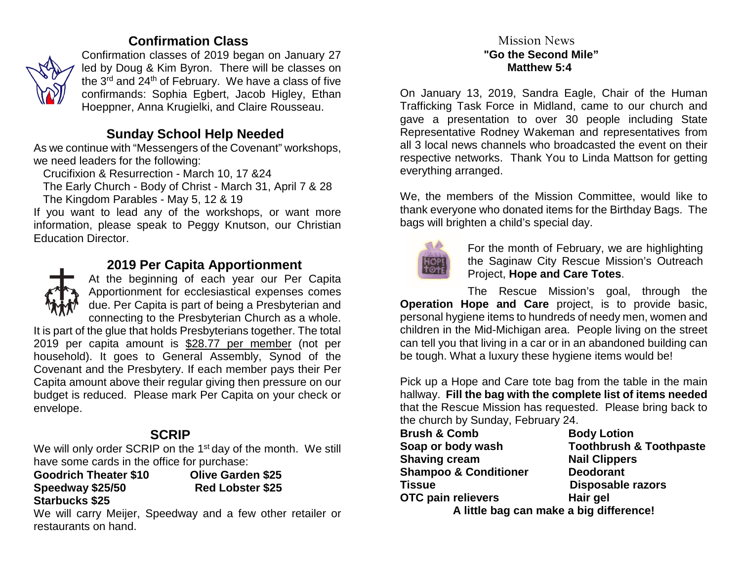## **Confirmation Class**



Confirmation classes of 2019 began on January 27 led by Doug & Kim Byron. There will be classes on the 3rd and 24th of February. We have a class of five confirmands: Sophia Egbert, Jacob Higley, Ethan Hoeppner, Anna Krugielki, and Claire Rousseau.

## **Sunday School Help Needed**

As we continue with "Messengers of the Covenant" workshops, we need leaders for the following:

Crucifixion & Resurrection - March 10, 17 &24

 The Early Church - Body of Christ - March 31, April 7 & 28 The Kingdom Parables - May 5, 12 & 19

If you want to lead any of the workshops, or want more information, please speak to Peggy Knutson, our Christian Education Director.



## **2019 Per Capita Apportionment**

At the beginning of each year our Per Capita Apportionment for ecclesiastical expenses comes due. Per Capita is part of being a Presbyterian and connecting to the Presbyterian Church as a whole.

It is part of the glue that holds Presbyterians together. The total 2019 per capita amount is \$28.77 per member (not per household). It goes to General Assembly, Synod of the Covenant and the Presbytery. If each member pays their Per Capita amount above their regular giving then pressure on our budget is reduced. Please mark Per Capita on your check or envelope.

## **SCRIP**

We will only order SCRIP on the 1<sup>st</sup> day of the month. We still have some cards in the office for purchase:

**Goodrich Theater \$10 Olive Garden \$25 Speedway \$25/50 Starbucks \$25**

We will carry Meijer, Speedway and a few other retailer or restaurants on hand.

#### Mission News  **"Go the Second Mile" Matthew 5:4**

On January 13, 2019, Sandra Eagle, Chair of the Human Trafficking Task Force in Midland, came to our church and gave a presentation to over 30 people including State Representative Rodney Wakeman and representatives from all 3 local news channels who broadcasted the event on their respective networks. Thank You to Linda Mattson for getting everything arranged.

We, the members of the Mission Committee, would like to thank everyone who donated items for the Birthday Bags. The bags will brighten a child's special day.



For the month of February, we are highlighting the Saginaw City Rescue Mission's Outreach Project, **Hope and Care Totes**.

The Rescue Mission's goal, through the **Operation Hope and Care** project, is to provide basic, personal hygiene items to hundreds of needy men, women and children in the Mid-Michigan area. People living on the street can tell you that living in a car or in an abandoned building can be tough. What a luxury these hygiene items would be!

Pick up a Hope and Care tote bag from the table in the main hallway. **Fill the bag with the complete list of items needed** that the Rescue Mission has requested. Please bring back to the church by Sunday, February 24.

| <b>Brush &amp; Comb</b>          | <b>Body Lotion</b>                      |  |  |  |
|----------------------------------|-----------------------------------------|--|--|--|
| Soap or body wash                | <b>Toothbrush &amp; Toothpaste</b>      |  |  |  |
| <b>Shaving cream</b>             | <b>Nail Clippers</b>                    |  |  |  |
| <b>Shampoo &amp; Conditioner</b> | <b>Deodorant</b>                        |  |  |  |
| Tissue                           | <b>Disposable razors</b>                |  |  |  |
| OTC pain relievers               | Hair gel                                |  |  |  |
|                                  | A little bag can make a big difference! |  |  |  |